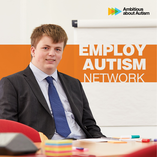

# EMPLOY **AUTISM**<br>NETWORK

**ummmmmmm**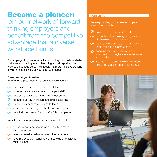## Become a pioneer:

join our network of forwardthinking employers and benefit from the competitive advantage that a diverse workforce brings.

Our employability programme helps you to push the boundaries in this ever-changing world. Providing a paid experience of work to an autistic person will result in a more inclusive working environment, allowing all your staff to prosper.

### **Reasons to get involved**

By offering a placement to an autistic intern you will:

- access a pool of untapped, diverse talent
- increase the morale and retention of your staff
- raise productivity levels and improve bottom line
- promote diversity of thought and problem solving
- support your existing workforce to thrive
- reflect the diversity of your clients and communities
- potentially become a 'Disability Confident' employer

Autistic people who undertake paid internships will:

- gain increased work readiness and ability to move into employment
- be empowered to self-advocate in the workplace
- have improved confidence to contribute as an employee within a team

## **OUR OFFER**

We are providing our partner employers across the UK with:

- training and support at £0-cost  $\omega$
- connections to an ever-growing network of diverse employer partners
- $\odot$  resources to promote your organisation's participation in the programme
- $\odot$  opportunities to collaborate with key stakeholders through events, networking and toolkits
- $\odot$  input to our evaluation, which will influence policy and practice on a national scale

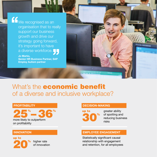K<sup>W</sup>e recognised as an organisation that to really support our business growth and drive our strategy going forward, it's important to have a diverse workforce.

> **Jo Marks, Senior HR Business Partner, SAP Employ Autism partner**

What's the **economic benefit** of a diverse and inclusive workplace?

#### **PROFITABILITY**



**INNOVATION**

## up to 20%

higher rate of innovation

#### **DECISION-MAKING**



greater ability of spotting and reducing business risks

## **EMPLOYEE ENGAGEMENT**

Statistically significant causal relationship with engagement and retention, for all employees